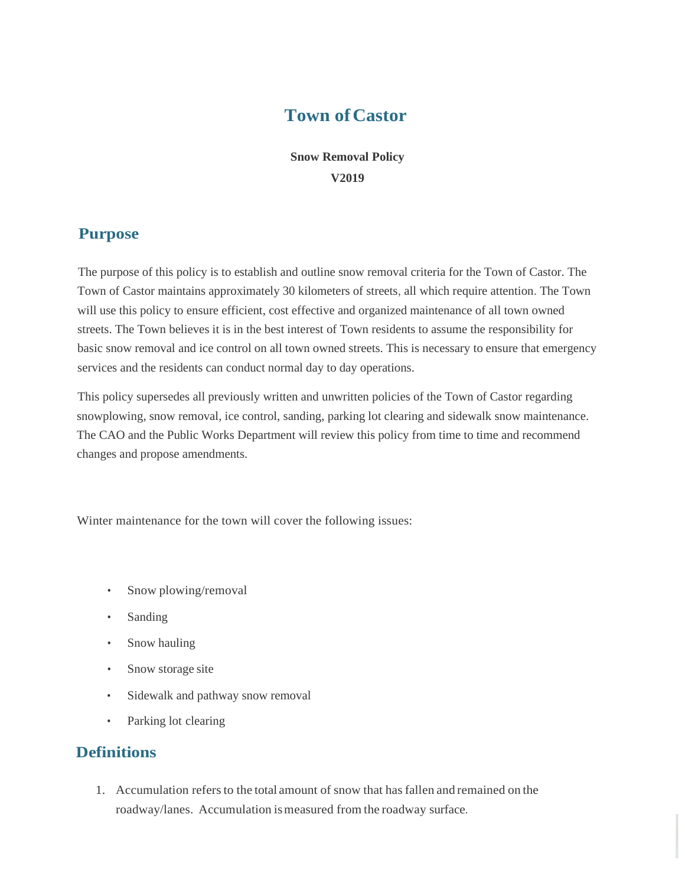# **Town ofCastor**

**Snow Removal Policy V2019**

#### **Purpose**

The purpose of this policy is to establish and outline snow removal criteria for the Town of Castor. The Town of Castor maintains approximately 30 kilometers of streets, all which require attention. The Town will use this policy to ensure efficient, cost effective and organized maintenance of all town owned streets. The Town believes it is in the best interest of Town residents to assume the responsibility for basic snow removal and ice control on all town owned streets. This is necessary to ensure that emergency services and the residents can conduct normal day to day operations.

This policy supersedes all previously written and unwritten policies of the Town of Castor regarding snowplowing, snow removal, ice control, sanding, parking lot clearing and sidewalk snow maintenance. The CAO and the Public Works Department will review this policy from time to time and recommend changes and propose amendments.

Winter maintenance for the town will cover the following issues:

- Snow plowing/removal
- Sanding
- Snow hauling
- Snow storage site
- Sidewalk and pathway snow removal
- Parking lot clearing

# **Definitions**

1. Accumulation refersto the total amount of snow that has fallen and remained on the roadway/lanes. Accumulation is measured from the roadway surface.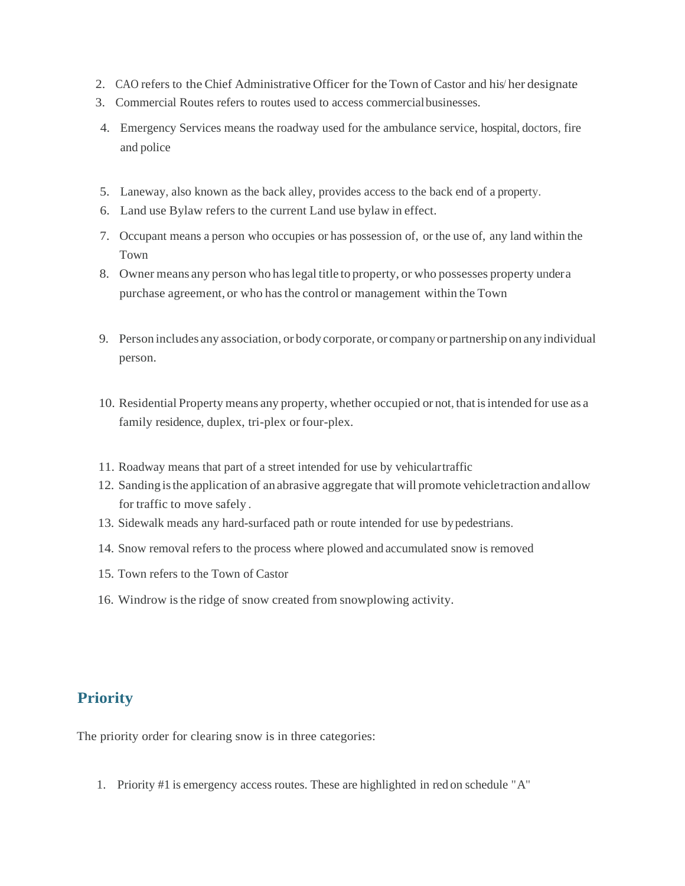- 2. CAO refers to the Chief Administrative Officer for the Town of Castor and his her designate.
- 3. Commercial Routes refers to routes used to access commercialbusinesses.
- 4. Emergency Services means the roadway used for the ambulance service, hospital, doctors, fire and police
- 5. Laneway, also known as the back alley, provides access to the back end of a property.
- 6. Land use Bylaw refers to the current Land use bylaw in effect.
- 7. Occupant means a person who occupies or has possession of, or the use of, any land within the Town
- 8. Owner means any person who haslegal title to property, or who possesses property undera purchase agreement, or who hasthe control or management within the Town
- 9. Person includes any association, or body corporate, or companyor partnership on anyindividual person.
- 10. Residential Property means any property, whether occupied or not, thatisintended for use as a family residence, duplex, tri-plex or four-plex.
- 11. Roadway means that part of a street intended for use by vehiculartraffic
- 12. Sanding isthe application of an abrasive aggregate that will promote vehicletraction andallow for traffic to move safely .
- 13. Sidewalk meads any hard-surfaced path or route intended for use bypedestrians.
- 14. Snow removal refers to the process where plowed and accumulated snow is removed
- 15. Town refers to the Town of Castor
- 16. Windrow isthe ridge of snow created from snowplowing activity.

## **Priority**

The priority order for clearing snow is in three categories:

1. Priority #1 is emergency access routes. These are highlighted in red on schedule "A"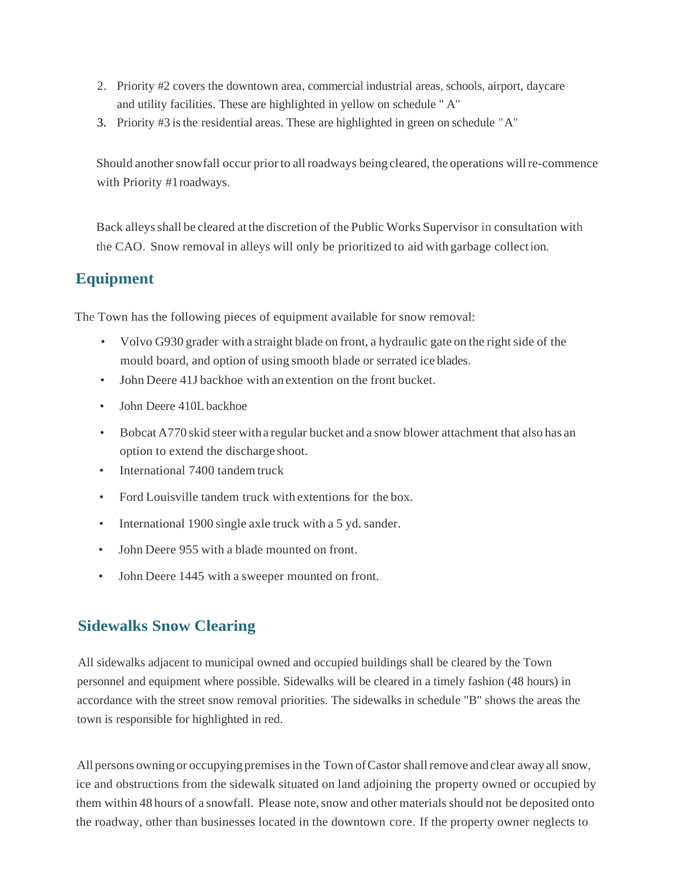- 2. Priority #2 covers the downtown area, commercial industrial areas, schools, airport, daycare and utility facilities. These are highlighted in yellow on schedule " A"
- 3. Priority #3 isthe residential areas. These are highlighted in green on schedule "A"

Should another snowfall occur prior to all roadways being cleared, the operations will re-commence with Priority #1roadways.

Back alleysshall be cleared at the discretion of the Public Works Supervisor in consultation with the CAO. Snow removal in alleys will only be prioritized to aid with garbage collection.

## **Equipment**

The Town has the following pieces of equipment available for snow removal:

- Volvo G930 grader with a straight blade on front, a hydraulic gate on the right side of the mould board, and option of using smooth blade or serrated ice blades.
- John Deere 41J backhoe with an extention on the front bucket.
- John Deere 410L backhoe
- Bobcat A770 skid steer witha regular bucket and a snow blower attachment that also has an option to extend the discharge shoot.
- International 7400 tandem truck
- Ford Louisville tandem truck with extentions for the box.
- International 1900 single axle truck with a 5 yd. sander.
- John Deere 955 with a blade mounted on front.
- John Deere 1445 with a sweeper mounted on front.

# **Sidewalks Snow Clearing**

All sidewalks adjacent to municipal owned and occupied buildings shall be cleared by the Town personnel and equipment where possible. Sidewalks will be cleared in a timely fashion (48 hours) in accordance with the street snow removal priorities. The sidewalks in schedule "B" shows the areas the town is responsible for highlighted in red.

All persons owning or occupying premises in the Town of Castor shall remove and clear away all snow, ice and obstructions from the sidewalk situated on land adjoining the property owned or occupied by them within 48 hours of a snowfall. Please note, snow and other materials should not be deposited onto the roadway, other than businesses located in the downtown core. If the property owner neglects to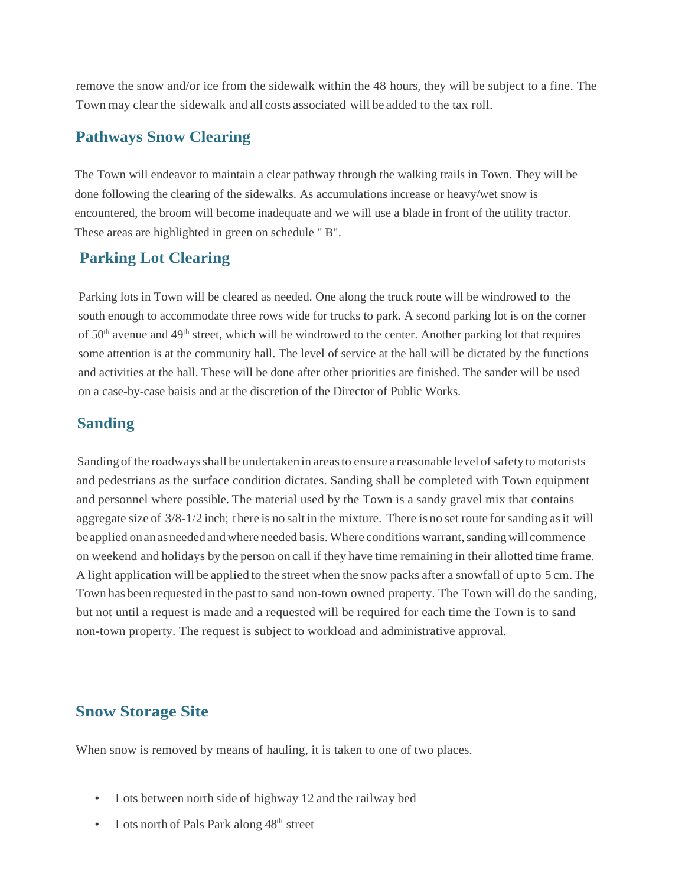remove the snow and/or ice from the sidewalk within the 48 hours, they will be subject to a fine. The Town may clear the sidewalk and all costs associated will be added to the tax roll.

#### **Pathways Snow Clearing**

The Town will endeavor to maintain a clear pathway through the walking trails in Town. They will be done following the clearing of the sidewalks. As accumulations increase or heavy/wet snow is encountered, the broom will become inadequate and we will use a blade in front of the utility tractor. These areas are highlighted in green on schedule " B".

## **Parking Lot Clearing**

Parking lots in Town will be cleared as needed. One along the truck route will be windrowed to the south enough to accommodate three rows wide for trucks to park. A second parking lot is on the corner of  $50<sup>th</sup>$  avenue and  $49<sup>th</sup>$  street, which will be windrowed to the center. Another parking lot that requires some attention is at the community hall. The level of service at the hall will be dictated by the functions and activities at the hall. These will be done after other priorities are finished. The sander will be used on a case-by-case baisis and at the discretion of the Director of Public Works.

## **Sanding**

Sanding of the roadways shall be undertaken in areas to ensure a reasonable level of safety to motorists and pedestrians as the surface condition dictates. Sanding shall be completed with Town equipment and personnel where possible. The material used by the Town is a sandy gravel mix that contains aggregate size of 3/8-1/2 inch; there is no salt in the mixture. There is no set route for sanding asit will be applied on an as needed and where needed basis. Where conditions warrant, sanding will commence on weekend and holidays by the person on call if they have time remaining in their allotted time frame. A light application will be applied to the street when the snow packs after a snowfall of up to 5 cm. The Town has been requested in the past to sand non-town owned property. The Town will do the sanding, but not until a request is made and a requested will be required for each time the Town is to sand non-town property. The request is subject to workload and administrative approval.

## **Snow Storage Site**

When snow is removed by means of hauling, it is taken to one of two places.

- Lots between north side of highway 12 and the railway bed
- Lots north of Pals Park along  $48<sup>th</sup>$  street